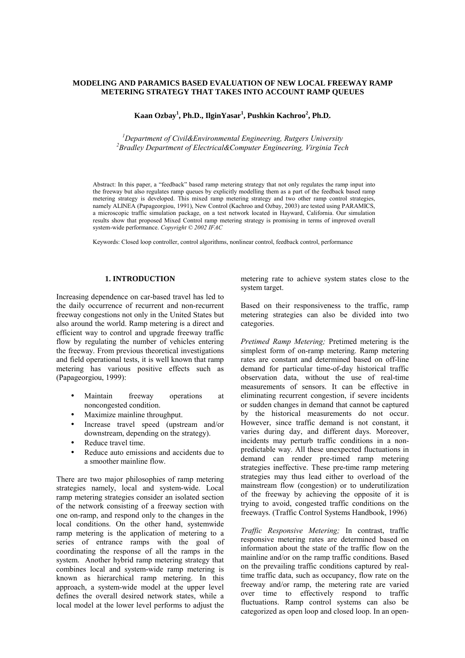## **MODELING AND PARAMICS BASED EVALUATION OF NEW LOCAL FREEWAY RAMP METERING STRATEGY THAT TAKES INTO ACCOUNT RAMP QUEUES**

 $\mathbf{K}$ aan Ozbay<sup>1</sup>, Ph.D., IlginYasar<sup>1</sup>, Pushkin Kachroo<sup>2</sup>, Ph.D.

<sup>1</sup> Department of Civil&Environmental Engineering, Rutgers University <sup>2</sup> Pugdlay Department of Electrical EComputer Engineering, Virginia Tea *Bradley Department of Electrical&Computer Engineering, Virginia Tech*

Abstract: In this paper, a "feedback" based ramp metering strategy that not only regulates the ramp input into the freeway but also regulates ramp queues by explicitly modelling them as a part of the feedback based ramp metering strategy is developed. This mixed ramp metering strategy and two other ramp control strategies, namely ALINEA (Papageorgiou, 1991), New Control (Kachroo and Ozbay, 2003) are tested using PARAMICS, a microscopic traffic simulation package, on a test network located in Hayward, California. Our simulation results show that proposed Mixed Control ramp metering strategy is promising in terms of improved overall system-wide performance. *Copyright © 2002 IFAC*

Keywords: Closed loop controller, control algorithms, nonlinear control, feedback control, performance

### **1. INTRODUCTION**

Increasing dependence on car-based travel has led to the daily occurrence of recurrent and non-recurrent freeway congestions not only in the United States but also around the world. Ramp metering is a direct and efficient way to control and upgrade freeway traffic flow by regulating the number of vehicles entering the freeway. From previous theoretical investigations and field operational tests, it is well known that ramp metering has various positive effects such as (Papageorgiou, 1999):

- Maintain freeway operations at noncongested condition.
- Maximize mainline throughput.
- Increase travel speed (upstream and/or downstream, depending on the strategy).
- Reduce travel time.
- Reduce auto emissions and accidents due to a smoother mainline flow.

There are two major philosophies of ramp metering strategies namely, local and system-wide. Local ramp metering strategies consider an isolated section of the network consisting of a freeway section with one on-ramp, and respond only to the changes in the local conditions. On the other hand, systemwide ramp metering is the application of metering to a series of entrance ramps with the goal of coordinating the response of all the ramps in the system. Another hybrid ramp metering strategy that combines local and system-wide ramp metering is known as hierarchical ramp metering. In this approach, a system-wide model at the upper level defines the overall desired network states, while a local model at the lower level performs to adjust the metering rate to achieve system states close to the system target.

Based on their responsiveness to the traffic, ramp metering strategies can also be divided into two categories.

*Pretimed Ramp Metering;* Pretimed metering is the simplest form of on-ramp metering. Ramp metering rates are constant and determined based on off-line demand for particular time-of-day historical traffic observation data, without the use of real-time measurements of sensors. It can be effective in eliminating recurrent congestion, if severe incidents or sudden changes in demand that cannot be captured by the historical measurements do not occur. However, since traffic demand is not constant, it varies during day, and different days. Moreover, incidents may perturb traffic conditions in a nonpredictable way. All these unexpected fluctuations in demand can render pre-timed ramp metering strategies ineffective. These pre-time ramp metering strategies may thus lead either to overload of the mainstream flow (congestion) or to underutilization of the freeway by achieving the opposite of it is trying to avoid, congested traffic conditions on the freeways. (Traffic Control Systems Handbook, 1996)

*Traffic Responsive Metering;* In contrast, traffic responsive metering rates are determined based on information about the state of the traffic flow on the mainline and/or on the ramp traffic conditions. Based on the prevailing traffic conditions captured by realtime traffic data, such as occupancy, flow rate on the freeway and/or ramp, the metering rate are varied over time to effectively respond to traffic fluctuations. Ramp control systems can also be categorized as open loop and closed loop. In an open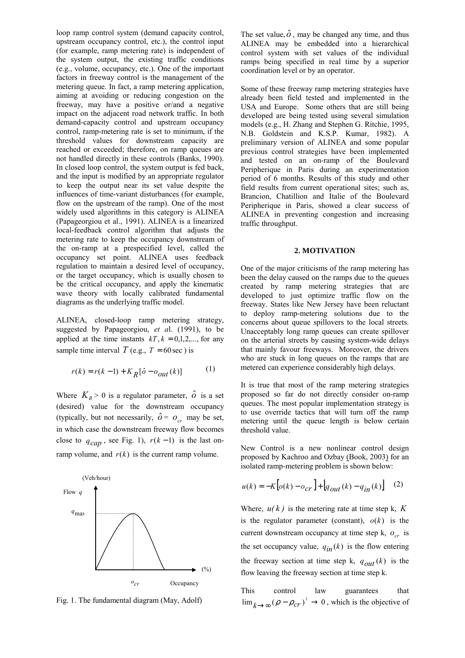loop ramp control system (demand capacity control, upstream occupancy control, etc.), the control input (for example, ramp metering rate) is independent of the system output, the existing traffic conditions (e.g., volume, occupancy, etc.). One of the important factors in freeway control is the management of the metering queue. In fact, a ramp metering application, aiming at avoiding or reducing congestion on the freeway, may have a positive or/and a negative impact on the adjacent road network traffic. In both demand-capacity control and upstream occupancy control, ramp-metering rate is set to minimum, if the threshold values for downstream capacity are reached or exceeded; therefore, on ramp queues are not handled directly in these controls (Banks, 1990). In closed loop control, the system output is fed back, and the input is modified by an appropriate regulator to keep the output near its set value despite the influences of time-variant disturbances (for example, flow on the upstream of the ramp). One of the most widely used algorithms in this category is ALINEA (Papageorgiou et al., 1991). ALINEA is a linearized local-feedback control algorithm that adjusts the metering rate to keep the occupancy downstream of the on-ramp at a prespecified level, called the occupancy set point. ALINEA uses feedback regulation to maintain a desired level of occupancy, or the target occupancy, which is usually chosen to be the critical occupancy, and apply the kinematic wave theory with locally calibrated fundamental diagrams as the underlying traffic model.

ALINEA, closed-loop ramp metering strategy, suggested by Papageorgiou, *et a*l. (1991), to be applied at the time instants  $kT$ ,  $k = 0,1,2,...$ , for any sample time interval  $T$  (e.g.,  $T = 60$  sec) is

$$
r(k) = r(k-1) + K_R[\hat{o} - o_{out}(k)]
$$
 (1)

Where  $K_R > 0$  is a regulator parameter,  $\hat{o}$  is a set (desired) value for the downstream occupancy (typically, but not necessarily,  $\hat{\rho} = o_{cr}$  may be set, in which case the downstream freeway flow becomes close to  $q_{cap}$ , see Fig. 1),  $r(k-1)$  is the last onramp volume, and  $r(k)$  is the current ramp volume.



Fig. 1. The fundamental diagram (May, Adolf)

The set value,  $\hat{o}$ , may be changed any time, and thus ALINEA may be embedded into a hierarchical control system with set values of the individual ramps being specified in real time by a superior coordination level or by an operator.

Some of these freeway ramp metering strategies have already been field tested and implemented in the USA and Europe. Some others that are still being developed are being tested using several simulation models (e.g., H. Zhang and Stephen G. Ritchie, 1995, N.B. Goldstein and K.S.P. Kumar, 1982). A preliminary version of ALINEA and some popular previous control strategies have been implemented and tested on an on-ramp of the Boulevard Peripherique in Paris during an experimentation period of 6 months. Results of this study and other field results from current operational sites; such as, Brancion, Chatillion and Italie of the Boulevard Peripherique in Paris, showed a clear success of ALINEA in preventing congestion and increasing traffic throughput.

#### **2. MOTIVATION**

One of the major criticisms of the ramp metering has been the delay caused on the ramps due to the queues created by ramp metering strategies that are developed to just optimize traffic flow on the freeway. States like New Jersey have been reluctant to deploy ramp-metering solutions due to the concerns about queue spillovers to the local streets. Unacceptably long ramp queues can create spillover on the arterial streets by causing system-wide delays that mainly favour freeways. Moreover, the drivers who are stuck in long queues on the ramps that are metered can experience considerably high delays.

It is true that most of the ramp metering strategies proposed so far do not directly consider on-ramp queues. The most popular implementation strategy is to use override tactics that will turn off the ramp metering until the queue length is below certain threshold value.

New Control is a new nonlinear control design proposed by Kachroo and Ozbay (Book, 2003) for an isolated ramp-metering problem is shown below:

$$
u(k) = -K\big[o(k) - o_{cr}\big] + \big[q_{out}(k) - q_{in}(k)\big] \quad (2)
$$

Where,  $u(k)$  is the metering rate at time step k, K is the regulator parameter (constant),  $o(k)$  is the current downstream occupancy at time step k,  $o_{cr}$  is the set occupancy value,  $q_{in}(k)$  is the flow entering the freeway section at time step k,  $q_{out}(k)$  is the flow leaving the freeway section at time step k.

This control law guarantees that  $\lim_{k \to \infty} (\rho - \rho_{cr})^2 \to 0$ , which is the objective of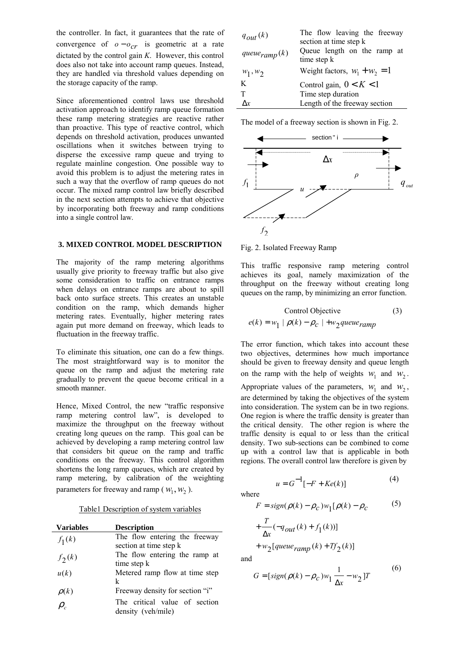the controller. In fact, it guarantees that the rate of convergence of  $o - o_{cr}$  is geometric at a rate dictated by the control gain *K*. However, this control does also not take into account ramp queues. Instead, they are handled via threshold values depending on the storage capacity of the ramp.

Since aforementioned control laws use threshold activation approach to identify ramp queue formation these ramp metering strategies are reactive rather than proactive. This type of reactive control, which depends on threshold activation, produces unwanted oscillations when it switches between trying to disperse the excessive ramp queue and trying to regulate mainline congestion. One possible way to avoid this problem is to adjust the metering rates in such a way that the overflow of ramp queues do not occur. The mixed ramp control law briefly described in the next section attempts to achieve that objective by incorporating both freeway and ramp conditions into a single control law.

# **3. MIXED CONTROL MODEL DESCRIPTION**

The majority of the ramp metering algorithms usually give priority to freeway traffic but also give some consideration to traffic on entrance ramps when delays on entrance ramps are about to spill back onto surface streets. This creates an unstable condition on the ramp, which demands higher metering rates. Eventually, higher metering rates again put more demand on freeway, which leads to fluctuation in the freeway traffic.

To eliminate this situation, one can do a few things. The most straightforward way is to monitor the queue on the ramp and adjust the metering rate gradually to prevent the queue become critical in a smooth manner.

Hence, Mixed Control, the new "traffic responsive ramp metering control law", is developed to maximize the throughput on the freeway without creating long queues on the ramp. This goal can be achieved by developing a ramp metering control law that considers bit queue on the ramp and traffic conditions on the freeway. This control algorithm shortens the long ramp queues, which are created by ramp metering, by calibration of the weighting parameters for freeway and ramp ( $w_1, w_2$ ).

# Table1 Description of system variables

| <b>Variables</b>              | <b>Description</b>              |
|-------------------------------|---------------------------------|
| $f_1(k)$                      | The flow entering the freeway   |
|                               | section at time step k          |
| $f_2(k)$                      | The flow entering the ramp at   |
|                               | time step k                     |
| u(k)                          | Metered ramp flow at time step  |
|                               | k                               |
| $\rho(k)$                     | Freeway density for section "i" |
| $\rho_{\scriptscriptstyle c}$ | The critical value of section   |
|                               | density (veh/mile)              |

| $q_{out}(k)$                | The flow leaving the freeway<br>section at time step k |
|-----------------------------|--------------------------------------------------------|
| queue <sub>ramp</sub> $(k)$ | Queue length on the ramp at<br>time step k             |
| $w_1, w_2$                  | Weight factors, $w_1 + w_2 = 1$                        |
| K                           | Control gain, $0 < K < 1$                              |
| T                           | Time step duration                                     |
| $\Delta x$                  | Length of the freeway section                          |

The model of a freeway section is shown in Fig. 2.



Fig. 2. Isolated Freeway Ramp

This traffic responsive ramp metering control achieves its goal, namely maximization of the throughput on the freeway without creating long queues on the ramp, by minimizing an error function.

Control Objective  
\n
$$
e(k) = w_1 \mid \rho(k) - \rho_c \mid +w_2 \text{queue} \text{ramp}
$$
\n(3)

The error function, which takes into account these two objectives, determines how much importance should be given to freeway density and queue length on the ramp with the help of weights  $W_1$  and  $W_2$ .

Appropriate values of the parameters,  $w_1$  and  $w_2$ , are determined by taking the objectives of the system into consideration. The system can be in two regions. One region is where the traffic density is greater than the critical density. The other region is where the traffic density is equal to or less than the critical density. Two sub-sections can be combined to come up with a control law that is applicable in both regions. The overall control law therefore is given by

$$
u = G^{-1}[-F + Ke(k)]
$$
 (4)

where

$$
F = sign(\rho(k) - \rho_c)w_1[\rho(k) - \rho_c \tag{5}
$$

+
$$
\frac{T}{\Delta x}(-q_{out}(k) + f_1(k))
$$
  
+
$$
w_2[queue_{ramp}(k) + Tf_2(k)]
$$

and

$$
G = [sign(\rho(k) - \rho_c)w_1 \frac{1}{\Delta x} - w_2]T
$$
\n(6)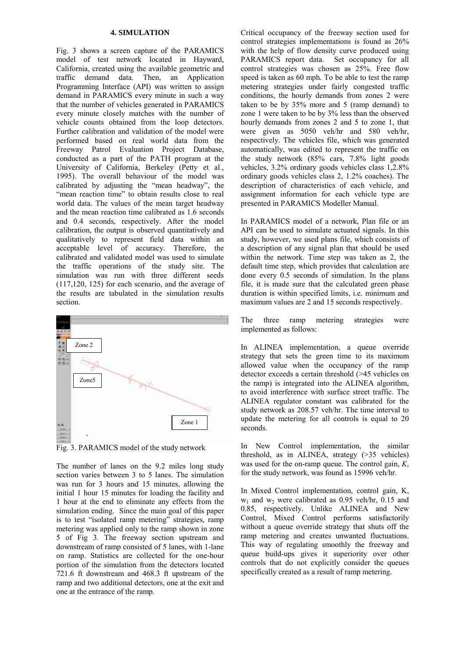#### **4. SIMULATION**

Fig. 3 shows a screen capture of the PARAMICS model of test network located in Hayward, California, created using the available geometric and traffic demand data. Then, an Application Programming Interface (API) was written to assign demand in PARAMICS every minute in such a way that the number of vehicles generated in PARAMICS every minute closely matches with the number of vehicle counts obtained from the loop detectors. Further calibration and validation of the model were performed based on real world data from the Freeway Patrol Evaluation Project Database, conducted as a part of the PATH program at the University of California, Berkeley (Petty et al., 1995). The overall behaviour of the model was calibrated by adjusting the "mean headway", the "mean reaction time" to obtain results close to real world data. The values of the mean target headway and the mean reaction time calibrated as 1.6 seconds and 0.4 seconds, respectively. After the model calibration, the output is observed quantitatively and qualitatively to represent field data within an acceptable level of accuracy. Therefore, the calibrated and validated model was used to simulate the traffic operations of the study site. The simulation was run with three different seeds (117,120, 125) for each scenario, and the average of the results are tabulated in the simulation results section.



Fig. 3. PARAMICS model of the study network

The number of lanes on the 9.2 miles long study section varies between 3 to 5 lanes. The simulation was run for 3 hours and 15 minutes, allowing the initial 1 hour 15 minutes for loading the facility and 1 hour at the end to eliminate any effects from the simulation ending. Since the main goal of this paper is to test "isolated ramp metering" strategies, ramp metering was applied only to the ramp shown in zone 5 of Fig 3. The freeway section upstream and downstream of ramp consisted of 5 lanes, with 1-lane on ramp. Statistics are collected for the one-hour portion of the simulation from the detectors located 721.6 ft downstream and 468.3 ft upstream of the ramp and two additional detectors, one at the exit and one at the entrance of the ramp.

Critical occupancy of the freeway section used for control strategies implementations is found as 26% with the help of flow density curve produced using PARAMICS report data. Set occupancy for all control strategies was chosen as 25%. Free flow speed is taken as 60 mph. To be able to test the ramp metering strategies under fairly congested traffic conditions, the hourly demands from zones 2 were taken to be by 35% more and 5 (ramp demand) to zone 1 were taken to be by 3% less than the observed hourly demands from zones 2 and 5 to zone 1, that were given as 5050 veh/hr and 580 veh/hr, respectively. The vehicles file, which was generated automatically, was edited to represent the traffic on the study network (85% cars, 7.8% light goods vehicles, 3.2% ordinary goods vehicles class 1,2.8% ordinary goods vehicles class 2, 1.2% coaches). The description of characteristics of each vehicle, and assignment information for each vehicle type are presented in PARAMICS Modeller Manual.

In PARAMICS model of a network, Plan file or an API can be used to simulate actuated signals. In this study, however, we used plans file, which consists of a description of any signal plan that should be used within the network. Time step was taken as 2, the default time step, which provides that calculation are done every 0.5 seconds of simulation. In the plans file, it is made sure that the calculated green phase duration is within specified limits, i.e. minimum and maximum values are 2 and 15 seconds respectively.

The three ramp metering strategies were implemented as follows:

In ALINEA implementation, a queue override strategy that sets the green time to its maximum allowed value when the occupancy of the ramp detector exceeds a certain threshold (>45 vehicles on the ramp) is integrated into the ALINEA algorithm, to avoid interference with surface street traffic. The ALINEA regulator constant was calibrated for the study network as 208.57 veh/hr. The time interval to update the metering for all controls is equal to 20 seconds.

In New Control implementation, the similar threshold, as in ALINEA, strategy (>35 vehicles) was used for the on-ramp queue. The control gain, *K*, for the study network, was found as 15996 veh/hr.

In Mixed Control implementation, control gain, K,  $w_1$  and  $w_2$  were calibrated as 0.95 veh/hr, 0.15 and 0.85, respectively. Unlike ALINEA and New Control, Mixed Control performs satisfactorily without a queue override strategy that shuts off the ramp metering and creates unwanted fluctuations. This way of regulating smoothly the freeway and queue build-ups gives it superiority over other controls that do not explicitly consider the queues specifically created as a result of ramp metering.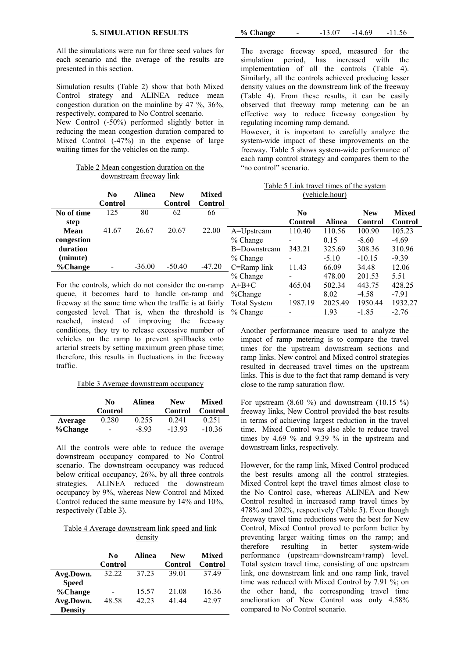| <b>5. SIMULATION RESULTS</b> |  |
|------------------------------|--|
|------------------------------|--|

All the simulations were run for three seed values for each scenario and the average of the results are presented in this section.

Simulation results (Table 2) show that both Mixed Control strategy and ALINEA reduce mean congestion duration on the mainline by 47 %, 36%, respectively, compared to No Control scenario.

New Control (-50%) performed slightly better in reducing the mean congestion duration compared to Mixed Control (-47%) in the expense of large waiting times for the vehicles on the ramp.

| Table 2 Mean congestion duration on the |  |  |
|-----------------------------------------|--|--|
| downstream freeway link                 |  |  |

|                                 | No<br>Control | <b>Alinea</b> | <b>New</b><br>Control | <b>Mixed</b><br>Control |
|---------------------------------|---------------|---------------|-----------------------|-------------------------|
| No of time                      | 125           | 80            | 62                    | 66                      |
| step<br>Mean<br>congestion      | 41.67         | 26.67         | 20.67                 | 22.00                   |
| duration<br>(minute)<br>%Change |               | $-36.00$      | $-50.40$              | -47 20                  |

For the controls, which do not consider the on-ramp queue, it becomes hard to handle on-ramp and freeway at the same time when the traffic is at fairly congested level. That is, when the threshold is reached, instead of improving the freeway conditions, they try to release excessive number of vehicles on the ramp to prevent spillbacks onto arterial streets by setting maximum green phase time; therefore, this results in fluctuations in the freeway traffic.

#### Table 3 Average downstream occupancy

|         | No.<br><b>Control</b> | Alinea | <b>New</b><br>Control | <b>Mixed</b><br><b>Control</b> |
|---------|-----------------------|--------|-----------------------|--------------------------------|
| Average | 0.280                 | 0.255  | 0 241                 | 0.251                          |
| %Change | $\qquad \qquad$       | $-893$ | $-1393$               | $-10.36$                       |

All the controls were able to reduce the average downstream occupancy compared to No Control scenario. The downstream occupancy was reduced below critical occupancy, 26%, by all three controls strategies. ALINEA reduced the downstream occupancy by 9%, whereas New Control and Mixed Control reduced the same measure by 14% and 10%, respectively (Table 3).

## Table 4 Average downstream link speed and link density

|                | No<br>Control | Alinea | <b>New</b><br>Control | <b>Mixed</b><br>Control |
|----------------|---------------|--------|-----------------------|-------------------------|
| Avg.Down.      | 32.22         | 37 23  | 39.01                 | 37.49                   |
| <b>Speed</b>   |               |        |                       |                         |
| %Change        |               | 15.57  | 21.08                 | 16.36                   |
| Avg.Down.      | 48.58         | 42.23  | 41 44                 | 42.97                   |
| <b>Density</b> |               |        |                       |                         |

**% Change** - -13.07 -14.69 -11.56

The average freeway speed, measured for the simulation period, has increased with the implementation of all the controls (Table 4). Similarly, all the controls achieved producing lesser density values on the downstream link of the freeway (Table 4). From these results, it can be easily observed that freeway ramp metering can be an effective way to reduce freeway congestion by regulating incoming ramp demand.

However, it is important to carefully analyze the system-wide impact of these improvements on the freeway. Table 5 shows system-wide performance of each ramp control strategy and compares them to the "no control" scenario.

| Table 5 Link travel times of the system |
|-----------------------------------------|
| (vehicle.hour)                          |

|                     | N <sub>0</sub><br><b>Control</b> | <b>Alinea</b> | <b>New</b><br><b>Control</b> | <b>Mixed</b><br><b>Control</b> |
|---------------------|----------------------------------|---------------|------------------------------|--------------------------------|
| A=Upstream          | 110.40                           | 110.56        | 100.90                       | 105.23                         |
| $%$ Change          |                                  | 0.15          | $-8.60$                      | $-4.69$                        |
| B=Downstream        | 343.21                           | 325.69        | 308.36                       | 310.96                         |
| % Change            |                                  | $-5.10$       | $-10.15$                     | $-9.39$                        |
| C=Ramp link         | 11.43                            | 66.09         | 34.48                        | 12.06                          |
| % Change            |                                  | 478.00        | 201.53                       | 5.51                           |
| $A+B+C$             | 465.04                           | 502.34        | 443.75                       | 428.25                         |
| %Change             |                                  | 8.02          | $-4.58$                      | $-7.91$                        |
| <b>Total System</b> | 1987.19                          | 2025.49       | 1950.44                      | 1932.27                        |
| % Change            |                                  | 1.93          | $-1.85$                      | $-2.76$                        |

Another performance measure used to analyze the impact of ramp metering is to compare the travel times for the upstream downstream sections and ramp links. New control and Mixed control strategies resulted in decreased travel times on the upstream links. This is due to the fact that ramp demand is very close to the ramp saturation flow.

For upstream  $(8.60 \text{ %})$  and downstream  $(10.15 \text{ %})$ freeway links, New Control provided the best results in terms of achieving largest reduction in the travel time. Mixed Control was also able to reduce travel times by 4.69 % and 9.39 % in the upstream and downstream links, respectively.

However, for the ramp link, Mixed Control produced the best results among all the control strategies. Mixed Control kept the travel times almost close to the No Control case, whereas ALINEA and New Control resulted in increased ramp travel times by 478% and 202%, respectively (Table 5). Even though freeway travel time reductions were the best for New Control, Mixed Control proved to perform better by preventing larger waiting times on the ramp; and therefore resulting in better system-wide performance (upstream+downstream+ramp) level. Total system travel time, consisting of one upstream link, one downstream link and one ramp link, travel time was reduced with Mixed Control by 7.91 %; on the other hand, the corresponding travel time amelioration of New Control was only 4.58% compared to No Control scenario.